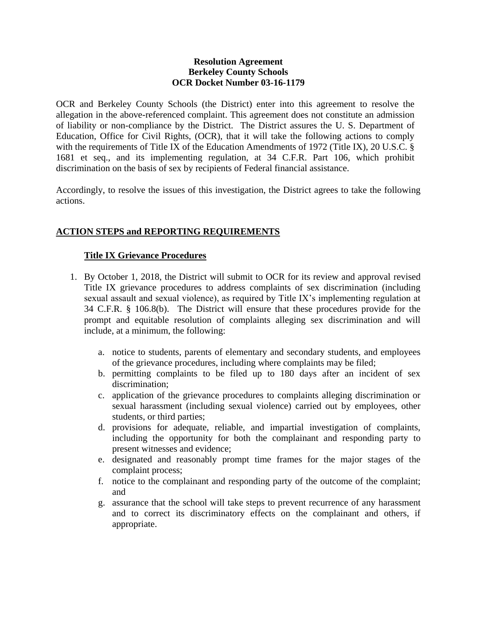#### **Resolution Agreement Berkeley County Schools OCR Docket Number 03-16-1179**

OCR and Berkeley County Schools (the District) enter into this agreement to resolve the allegation in the above-referenced complaint. This agreement does not constitute an admission of liability or non-compliance by the District. The District assures the U. S. Department of Education, Office for Civil Rights, (OCR), that it will take the following actions to comply with the requirements of Title IX of the Education Amendments of 1972 (Title IX), 20 U.S.C. § 1681 et seq., and its implementing regulation, at 34 C.F.R. Part 106, which prohibit discrimination on the basis of sex by recipients of Federal financial assistance.

Accordingly, to resolve the issues of this investigation, the District agrees to take the following actions.

## **ACTION STEPS and REPORTING REQUIREMENTS**

### **Title IX Grievance Procedures**

- 1. By October 1, 2018, the District will submit to OCR for its review and approval revised Title IX grievance procedures to address complaints of sex discrimination (including sexual assault and sexual violence), as required by Title IX's implementing regulation at 34 C.F.R. § 106.8(b). The District will ensure that these procedures provide for the prompt and equitable resolution of complaints alleging sex discrimination and will include, at a minimum, the following:
	- a. notice to students, parents of elementary and secondary students, and employees of the grievance procedures, including where complaints may be filed;
	- b. permitting complaints to be filed up to 180 days after an incident of sex discrimination;
	- c. application of the grievance procedures to complaints alleging discrimination or sexual harassment (including sexual violence) carried out by employees, other students, or third parties;
	- d. provisions for adequate, reliable, and impartial investigation of complaints, including the opportunity for both the complainant and responding party to present witnesses and evidence;
	- e. designated and reasonably prompt time frames for the major stages of the complaint process;
	- f. notice to the complainant and responding party of the outcome of the complaint; and
	- g. assurance that the school will take steps to prevent recurrence of any harassment and to correct its discriminatory effects on the complainant and others, if appropriate.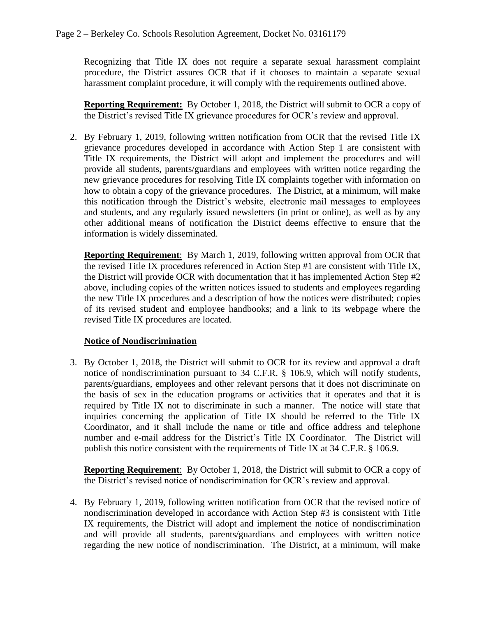Recognizing that Title IX does not require a separate sexual harassment complaint procedure, the District assures OCR that if it chooses to maintain a separate sexual harassment complaint procedure, it will comply with the requirements outlined above.

**Reporting Requirement:** By October 1, 2018, the District will submit to OCR a copy of the District's revised Title IX grievance procedures for OCR's review and approval.

2. By February 1, 2019, following written notification from OCR that the revised Title IX grievance procedures developed in accordance with Action Step 1 are consistent with Title IX requirements, the District will adopt and implement the procedures and will provide all students, parents/guardians and employees with written notice regarding the new grievance procedures for resolving Title IX complaints together with information on how to obtain a copy of the grievance procedures. The District, at a minimum, will make this notification through the District's website, electronic mail messages to employees and students, and any regularly issued newsletters (in print or online), as well as by any other additional means of notification the District deems effective to ensure that the information is widely disseminated.

**Reporting Requirement**: By March 1, 2019, following written approval from OCR that the revised Title IX procedures referenced in Action Step #1 are consistent with Title IX, the District will provide OCR with documentation that it has implemented Action Step #2 above, including copies of the written notices issued to students and employees regarding the new Title IX procedures and a description of how the notices were distributed; copies of its revised student and employee handbooks; and a link to its webpage where the revised Title IX procedures are located.

## **Notice of Nondiscrimination**

3. By October 1, 2018, the District will submit to OCR for its review and approval a draft notice of nondiscrimination pursuant to 34 C.F.R. § 106.9, which will notify students, parents/guardians, employees and other relevant persons that it does not discriminate on the basis of sex in the education programs or activities that it operates and that it is required by Title IX not to discriminate in such a manner. The notice will state that inquiries concerning the application of Title IX should be referred to the Title IX Coordinator, and it shall include the name or title and office address and telephone number and e-mail address for the District's Title IX Coordinator. The District will publish this notice consistent with the requirements of Title IX at 34 C.F.R. § 106.9.

**Reporting Requirement**: By October 1, 2018, the District will submit to OCR a copy of the District's revised notice of nondiscrimination for OCR's review and approval.

4. By February 1, 2019, following written notification from OCR that the revised notice of nondiscrimination developed in accordance with Action Step #3 is consistent with Title IX requirements, the District will adopt and implement the notice of nondiscrimination and will provide all students, parents/guardians and employees with written notice regarding the new notice of nondiscrimination. The District, at a minimum, will make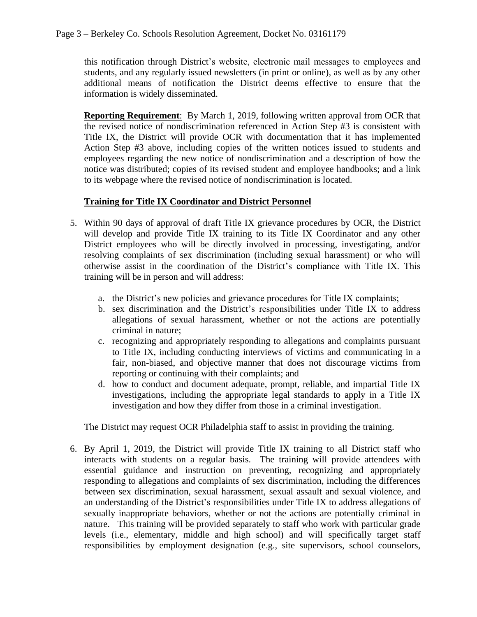this notification through District's website, electronic mail messages to employees and students, and any regularly issued newsletters (in print or online), as well as by any other additional means of notification the District deems effective to ensure that the information is widely disseminated.

**Reporting Requirement**: By March 1, 2019, following written approval from OCR that the revised notice of nondiscrimination referenced in Action Step #3 is consistent with Title IX, the District will provide OCR with documentation that it has implemented Action Step #3 above, including copies of the written notices issued to students and employees regarding the new notice of nondiscrimination and a description of how the notice was distributed; copies of its revised student and employee handbooks; and a link to its webpage where the revised notice of nondiscrimination is located.

# **Training for Title IX Coordinator and District Personnel**

- 5. Within 90 days of approval of draft Title IX grievance procedures by OCR, the District will develop and provide Title IX training to its Title IX Coordinator and any other District employees who will be directly involved in processing, investigating, and/or resolving complaints of sex discrimination (including sexual harassment) or who will otherwise assist in the coordination of the District's compliance with Title IX. This training will be in person and will address:
	- a. the District's new policies and grievance procedures for Title IX complaints;
	- b. sex discrimination and the District's responsibilities under Title IX to address allegations of sexual harassment, whether or not the actions are potentially criminal in nature;
	- c. recognizing and appropriately responding to allegations and complaints pursuant to Title IX, including conducting interviews of victims and communicating in a fair, non-biased, and objective manner that does not discourage victims from reporting or continuing with their complaints; and
	- d. how to conduct and document adequate, prompt, reliable, and impartial Title IX investigations, including the appropriate legal standards to apply in a Title IX investigation and how they differ from those in a criminal investigation.

The District may request OCR Philadelphia staff to assist in providing the training.

6. By April 1, 2019, the District will provide Title IX training to all District staff who interacts with students on a regular basis. The training will provide attendees with essential guidance and instruction on preventing, recognizing and appropriately responding to allegations and complaints of sex discrimination, including the differences between sex discrimination, sexual harassment, sexual assault and sexual violence, and an understanding of the District's responsibilities under Title IX to address allegations of sexually inappropriate behaviors, whether or not the actions are potentially criminal in nature. This training will be provided separately to staff who work with particular grade levels (i.e., elementary, middle and high school) and will specifically target staff responsibilities by employment designation (e.g., site supervisors, school counselors,